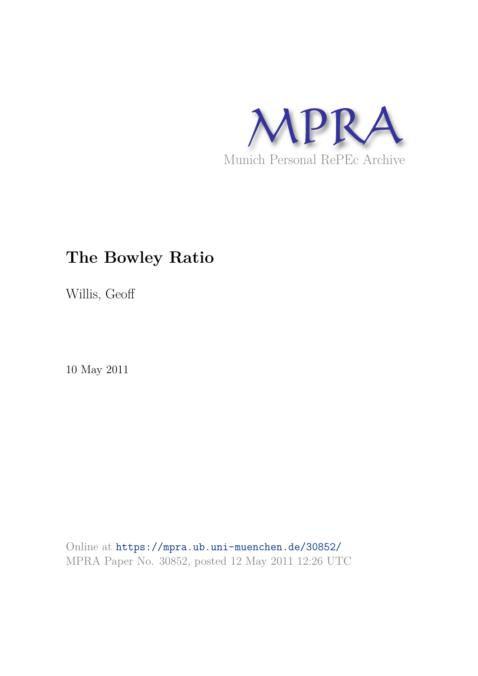

# **The Bowley Ratio**

Willis, Geoff

10 May 2011

Online at https://mpra.ub.uni-muenchen.de/30852/ MPRA Paper No. 30852, posted 12 May 2011 12:26 UTC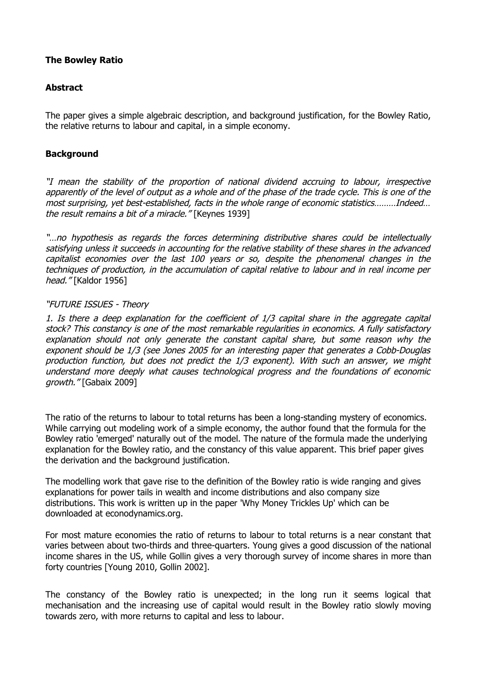## **The Bowley Ratio**

### **Abstract**

The paper gives a simple algebraic description, and background justification, for the Bowley Ratio, the relative returns to labour and capital, in a simple economy.

## **Background**

"I mean the stability of the proportion of national dividend accruing to labour, irrespective apparently of the level of output as a whole and of the phase of the trade cycle. This is one of the most surprising, yet best-established, facts in the whole range of economic statistics………Indeed… the result remains a bit of a miracle." [Keynes 1939]

"…no hypothesis as regards the forces determining distributive shares could be intellectually satisfying unless it succeeds in accounting for the relative stability of these shares in the advanced capitalist economies over the last 100 years or so, despite the phenomenal changes in the techniques of production, in the accumulation of capital relative to labour and in real income per head." [Kaldor 1956]

### "FUTURE ISSUES - Theory

1. Is there a deep explanation for the coefficient of 1/3 capital share in the aggregate capital stock? This constancy is one of the most remarkable regularities in economics. A fully satisfactory explanation should not only generate the constant capital share, but some reason why the exponent should be 1/3 (see Jones 2005 for an interesting paper that generates a Cobb-Douglas production function, but does not predict the 1/3 exponent). With such an answer, we might understand more deeply what causes technological progress and the foundations of economic growth." [Gabaix 2009]

The ratio of the returns to labour to total returns has been a long-standing mystery of economics. While carrying out modeling work of a simple economy, the author found that the formula for the Bowley ratio 'emerged' naturally out of the model. The nature of the formula made the underlying explanation for the Bowley ratio, and the constancy of this value apparent. This brief paper gives the derivation and the background justification.

The modelling work that gave rise to the definition of the Bowley ratio is wide ranging and gives explanations for power tails in wealth and income distributions and also company size distributions. This work is written up in the paper 'Why Money Trickles Up' which can be downloaded at econodynamics.org.

For most mature economies the ratio of returns to labour to total returns is a near constant that varies between about two-thirds and three-quarters. Young gives a good discussion of the national income shares in the US, while Gollin gives a very thorough survey of income shares in more than forty countries [Young 2010, Gollin 2002].

The constancy of the Bowley ratio is unexpected; in the long run it seems logical that mechanisation and the increasing use of capital would result in the Bowley ratio slowly moving towards zero, with more returns to capital and less to labour.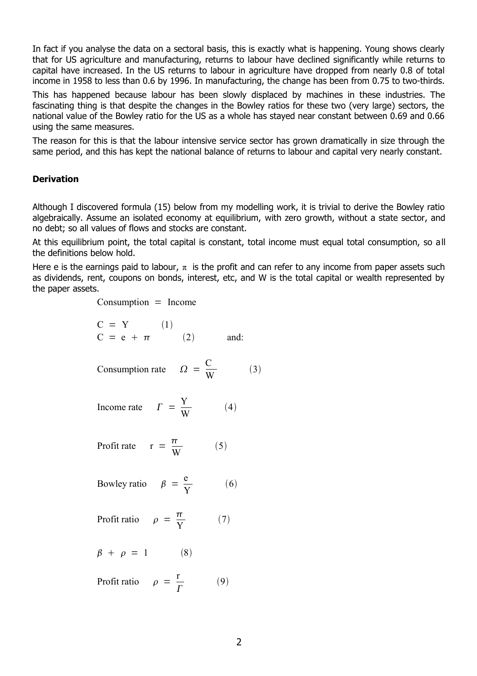In fact if you analyse the data on a sectoral basis, this is exactly what is happening. Young shows clearly that for US agriculture and manufacturing, returns to labour have declined significantly while returns to capital have increased. In the US returns to labour in agriculture have dropped from nearly 0.8 of total income in 1958 to less than 0.6 by 1996. In manufacturing, the change has been from 0.75 to two-thirds.

This has happened because labour has been slowly displaced by machines in these industries. The fascinating thing is that despite the changes in the Bowley ratios for these two (very large) sectors, the national value of the Bowley ratio for the US as a whole has stayed near constant between 0.69 and 0.66 using the same measures.

The reason for this is that the labour intensive service sector has grown dramatically in size through the same period, and this has kept the national balance of returns to labour and capital very nearly constant.

#### **Derivation**

Although I discovered formula (15) below from my modelling work, it is trivial to derive the Bowley ratio algebraically. Assume an isolated economy at equilibrium, with zero growth, without a state sector, and no debt; so all values of flows and stocks are constant.

At this equilibrium point, the total capital is constant, total income must equal total consumption, so all the definitions below hold.

Here e is the earnings paid to labour,  $\pi$  is the profit and can refer to any income from paper assets such as dividends, rent, coupons on bonds, interest, etc, and W is the total capital or wealth represented by the paper assets.

 $Consumption = Income$ 

$$
C = Y
$$
 (1)  
\n
$$
C = e + \pi
$$
 (2) and:

$$
Consumption rate \qquad \Omega = \frac{C}{W} \tag{3}
$$

$$
Income\ rate \qquad \Gamma = \frac{Y}{W} \tag{4}
$$

Profit rate 
$$
r = \frac{\pi}{W}
$$
 (5)

Bowley ratio  $\beta = \frac{e}{b}$ Y

$$
Profit ratio \quad \rho = \frac{\pi}{Y} \quad (7)
$$

$$
\beta + \rho = 1 \tag{8}
$$

Profit ratio 
$$
\rho = \frac{r}{\Gamma}
$$
 (9)

 $(6)$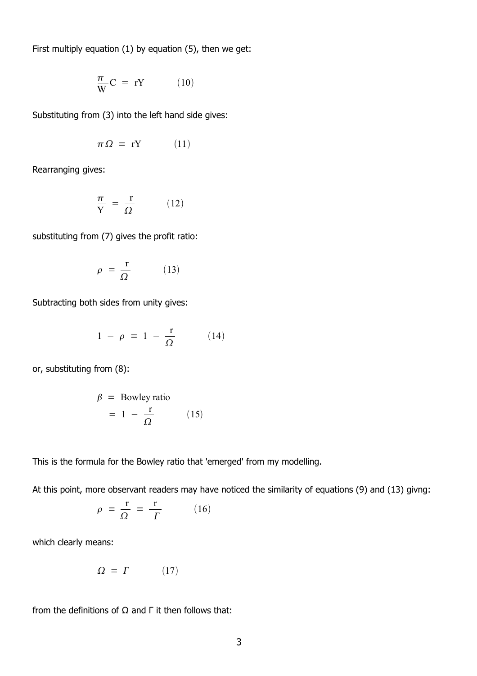First multiply equation (1) by equation (5), then we get:

$$
\frac{\pi}{W}C = rY \tag{10}
$$

Substituting from (3) into the left hand side gives:

$$
\pi \Omega = rY \qquad (11)
$$

Rearranging gives:

$$
\frac{\pi}{Y} = \frac{r}{\Omega} \tag{12}
$$

substituting from (7) gives the profit ratio:

$$
\rho = \frac{r}{\Omega} \tag{13}
$$

Subtracting both sides from unity gives:

$$
1 - \rho = 1 - \frac{\mathbf{r}}{\Omega} \tag{14}
$$

or, substituting from (8):

$$
\beta = \text{Bowley ratio} \\
= 1 - \frac{r}{\Omega} \tag{15}
$$

This is the formula for the Bowley ratio that 'emerged' from my modelling.

At this point, more observant readers may have noticed the similarity of equations (9) and (13) givng:

$$
\rho = \frac{r}{\Omega} = \frac{r}{\Gamma} \tag{16}
$$

which clearly means:

$$
\Omega = \Gamma \tag{17}
$$

from the definitions of  $Ω$  and  $Γ$  it then follows that: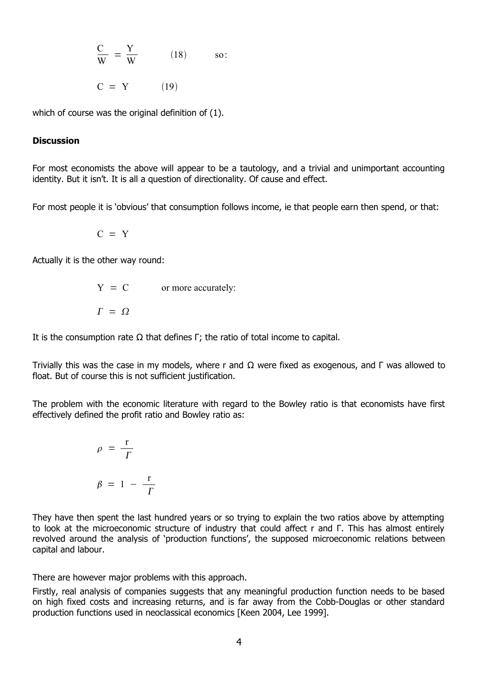$$
\frac{C}{W} = \frac{Y}{W}
$$
 (18) so:  

$$
C = Y
$$
 (19)

which of course was the original definition of (1).

#### **Discussion**

For most economists the above will appear to be a tautology, and a trivial and unimportant accounting identity. But it isn't. It is all a question of directionality. Of cause and effect.

For most people it is 'obvious' that consumption follows income, ie that people earn then spend, or that:

$$
C = Y
$$

Actually it is the other way round:

$$
Y = C \t\t\t or more accurately:\n
$$
\Gamma = \Omega
$$
$$

It is the consumption rate  $\Omega$  that defines Γ; the ratio of total income to capital.

Trivially this was the case in my models, where r and  $\Omega$  were fixed as exogenous, and Γ was allowed to float. But of course this is not sufficient justification.

The problem with the economic literature with regard to the Bowley ratio is that economists have first effectively defined the profit ratio and Bowley ratio as:

$$
\rho = \frac{r}{\Gamma}
$$
\n
$$
\beta = 1 - \frac{r}{\Gamma}
$$

They have then spent the last hundred years or so trying to explain the two ratios above by attempting to look at the microeconomic structure of industry that could affect r and Γ. This has almost entirely revolved around the analysis of 'production functions', the supposed microeconomic relations between capital and labour.

There are however major problems with this approach.

Firstly, real analysis of companies suggests that any meaningful production function needs to be based on high fixed costs and increasing returns, and is far away from the Cobb-Douglas or other standard production functions used in neoclassical economics [Keen 2004, Lee 1999].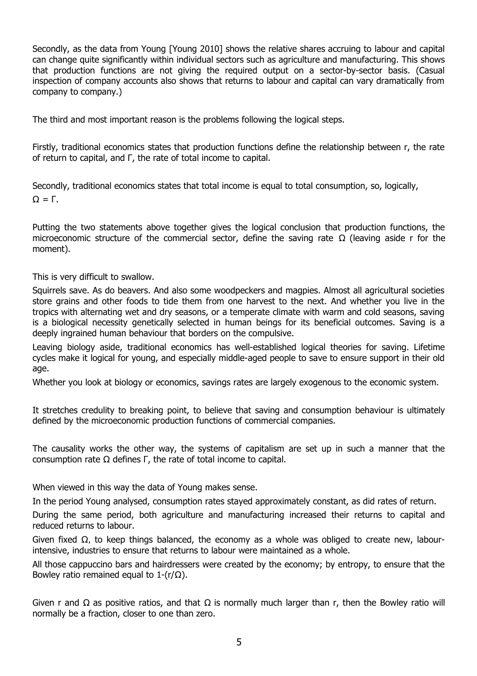Secondly, as the data from Young [Young 2010] shows the relative shares accruing to labour and capital can change quite significantly within individual sectors such as agriculture and manufacturing. This shows that production functions are not giving the required output on a sector-by-sector basis. (Casual inspection of company accounts also shows that returns to labour and capital can vary dramatically from company to company.)

The third and most important reason is the problems following the logical steps.

Firstly, traditional economics states that production functions define the relationship between r, the rate of return to capital, and Γ, the rate of total income to capital.

Secondly, traditional economics states that total income is equal to total consumption, so, logically,  $Ω = Γ$ .

Putting the two statements above together gives the logical conclusion that production functions, the microeconomic structure of the commercial sector, define the saving rate  $\Omega$  (leaving aside r for the moment).

This is very difficult to swallow.

Squirrels save. As do beavers. And also some woodpeckers and magpies. Almost all agricultural societies store grains and other foods to tide them from one harvest to the next. And whether you live in the tropics with alternating wet and dry seasons, or a temperate climate with warm and cold seasons, saving is a biological necessity genetically selected in human beings for its beneficial outcomes. Saving is a deeply ingrained human behaviour that borders on the compulsive.

Leaving biology aside, traditional economics has well-established logical theories for saving. Lifetime cycles make it logical for young, and especially middle-aged people to save to ensure support in their old age.

Whether you look at biology or economics, savings rates are largely exogenous to the economic system.

It stretches credulity to breaking point, to believe that saving and consumption behaviour is ultimately defined by the microeconomic production functions of commercial companies.

The causality works the other way, the systems of capitalism are set up in such a manner that the consumption rate Ω defines Γ, the rate of total income to capital.

When viewed in this way the data of Young makes sense.

In the period Young analysed, consumption rates stayed approximately constant, as did rates of return.

During the same period, both agriculture and manufacturing increased their returns to capital and reduced returns to labour.

Given fixed Ω, to keep things balanced, the economy as a whole was obliged to create new, labourintensive, industries to ensure that returns to labour were maintained as a whole.

All those cappuccino bars and hairdressers were created by the economy; by entropy, to ensure that the Bowley ratio remained equal to 1- $(r/\Omega)$ .

Given r and  $\Omega$  as positive ratios, and that  $\Omega$  is normally much larger than r, then the Bowley ratio will normally be a fraction, closer to one than zero.